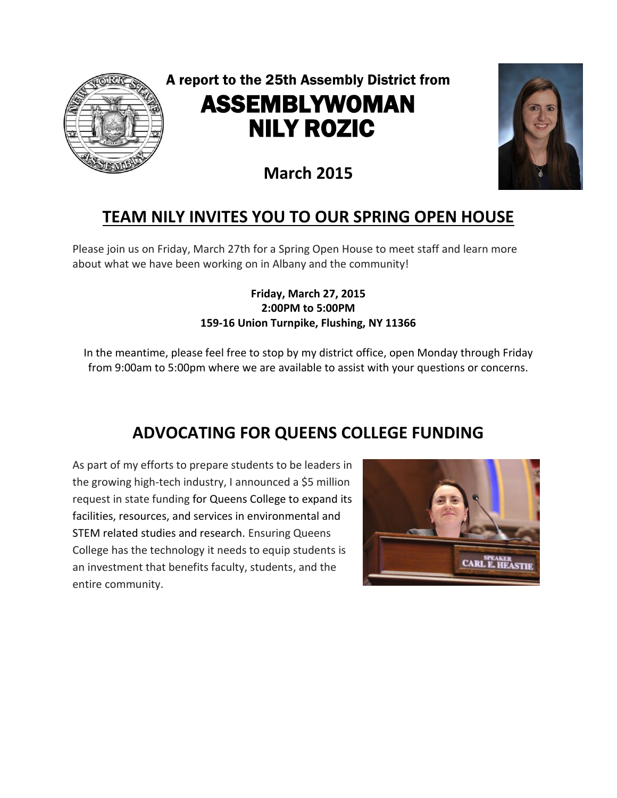

A report to the 25th Assembly District from ASSEMBLYWOMAN NILY ROZIC



# **March 2015**

## **TEAM NILY INVITES YOU TO OUR SPRING OPEN HOUSE**

Please join us on Friday, March 27th for a Spring Open House to meet staff and learn more about what we have been working on in Albany and the community!

#### **Friday, March 27, 2015 2:00PM to 5:00PM 159-16 Union Turnpike, Flushing, NY 11366**

In the meantime, please feel free to stop by my district office, open Monday through Friday from 9:00am to 5:00pm where we are available to assist with your questions or concerns.

## **ADVOCATING FOR QUEENS COLLEGE FUNDING**

As part of my efforts to prepare students to be leaders in the growing high-tech industry, I announced a \$5 million request in state funding for Queens College to expand its facilities, resources, and services in environmental and STEM related studies and research. Ensuring Queens College has the technology it needs to equip students is an investment that benefits faculty, students, and the entire community.